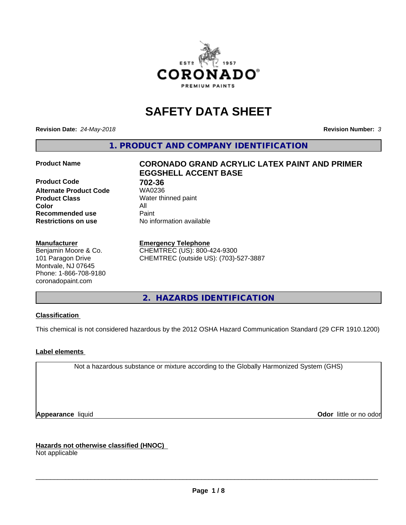

# **SAFETY DATA SHEET**

**Revision Date:** *24-May-2018* **Revision Number:** *3*

**1. PRODUCT AND COMPANY IDENTIFICATION**

**Product Code 61 702-36**<br>**Alternate Product Code 61 702-36 Alternate Product Code Product Class** Water thinned paint<br> **Color** All **Color** All **Recommended use Caint Restrictions on use** No information available

#### **Manufacturer**

Benjamin Moore & Co. 101 Paragon Drive Montvale, NJ 07645 Phone: 1-866-708-9180 coronadopaint.com

# **Product Name CORONADO GRAND ACRYLIC LATEX PAINT AND PRIMER EGGSHELL ACCENT BASE**

#### **Emergency Telephone**

CHEMTREC (US): 800-424-9300 CHEMTREC (outside US): (703)-527-3887

**2. HAZARDS IDENTIFICATION**

# **Classification**

This chemical is not considered hazardous by the 2012 OSHA Hazard Communication Standard (29 CFR 1910.1200)

# **Label elements**

Not a hazardous substance or mixture according to the Globally Harmonized System (GHS)

**Appearance** liquid **Contract Contract Contract Contract Contract Contract Contract Contract Contract Contract Contract Contract Contract Contract Contract Contract Contract Contract Contract Contract Contract Contract Con** 

**Hazards not otherwise classified (HNOC)**

Not applicable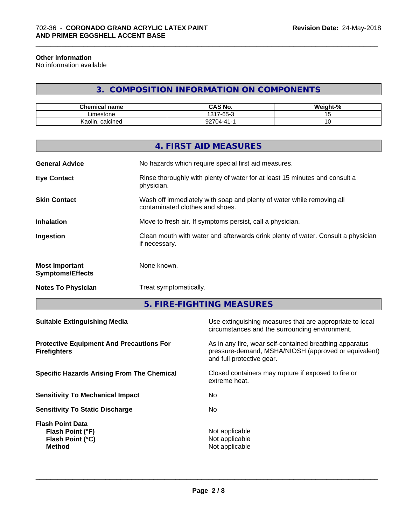#### **Other information**

No information available

# **3. COMPOSITION INFORMATION ON COMPONENTS**

\_\_\_\_\_\_\_\_\_\_\_\_\_\_\_\_\_\_\_\_\_\_\_\_\_\_\_\_\_\_\_\_\_\_\_\_\_\_\_\_\_\_\_\_\_\_\_\_\_\_\_\_\_\_\_\_\_\_\_\_\_\_\_\_\_\_\_\_\_\_\_\_\_\_\_\_\_\_\_\_\_\_\_\_\_\_\_\_\_\_\_\_\_

| <b>Chemical name</b> | <b>CAS No.</b>                           | <br>$\sim$<br>√eight-"<br>-70 |
|----------------------|------------------------------------------|-------------------------------|
| .imestone            | $\sim$<br>1317-<br>$\sim$<br>-65-<br>. . |                               |
| Kaolin<br>. calcined | $\sim$<br>$(14-$<br>.                    | ັ                             |

|                                                  | 4. FIRST AID MEASURES                                                                                    |
|--------------------------------------------------|----------------------------------------------------------------------------------------------------------|
| <b>General Advice</b>                            | No hazards which require special first aid measures.                                                     |
| <b>Eye Contact</b>                               | Rinse thoroughly with plenty of water for at least 15 minutes and consult a<br>physician.                |
| <b>Skin Contact</b>                              | Wash off immediately with soap and plenty of water while removing all<br>contaminated clothes and shoes. |
| <b>Inhalation</b>                                | Move to fresh air. If symptoms persist, call a physician.                                                |
| Ingestion                                        | Clean mouth with water and afterwards drink plenty of water. Consult a physician<br>if necessary.        |
| <b>Most Important</b><br><b>Symptoms/Effects</b> | None known.                                                                                              |
| <b>Notes To Physician</b>                        | Treat symptomatically.                                                                                   |
|                                                  |                                                                                                          |

**5. FIRE-FIGHTING MEASURES**

| <b>Protective Equipment And Precautions For</b><br>As in any fire, wear self-contained breathing apparatus<br>pressure-demand, MSHA/NIOSH (approved or equivalent)<br><b>Firefighters</b><br>and full protective gear.<br>Closed containers may rupture if exposed to fire or<br><b>Specific Hazards Arising From The Chemical</b><br>extreme heat.<br>No.<br><b>Sensitivity To Mechanical Impact</b><br>No.<br><b>Sensitivity To Static Discharge</b><br><b>Flash Point Data</b><br>Not applicable<br>Flash Point (°F)<br>Not applicable<br>Flash Point (°C)<br><b>Method</b><br>Not applicable | <b>Suitable Extinguishing Media</b> | Use extinguishing measures that are appropriate to local<br>circumstances and the surrounding environment. |
|--------------------------------------------------------------------------------------------------------------------------------------------------------------------------------------------------------------------------------------------------------------------------------------------------------------------------------------------------------------------------------------------------------------------------------------------------------------------------------------------------------------------------------------------------------------------------------------------------|-------------------------------------|------------------------------------------------------------------------------------------------------------|
|                                                                                                                                                                                                                                                                                                                                                                                                                                                                                                                                                                                                  |                                     |                                                                                                            |
|                                                                                                                                                                                                                                                                                                                                                                                                                                                                                                                                                                                                  |                                     |                                                                                                            |
|                                                                                                                                                                                                                                                                                                                                                                                                                                                                                                                                                                                                  |                                     |                                                                                                            |
|                                                                                                                                                                                                                                                                                                                                                                                                                                                                                                                                                                                                  |                                     |                                                                                                            |
|                                                                                                                                                                                                                                                                                                                                                                                                                                                                                                                                                                                                  |                                     |                                                                                                            |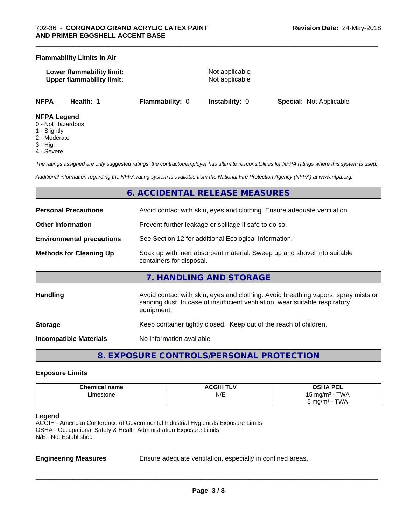#### **Flammability Limits In Air**

| Lower flammability limit:        |  |
|----------------------------------|--|
| <b>Upper flammability limit:</b> |  |

**Not applicable Not applicable** 

\_\_\_\_\_\_\_\_\_\_\_\_\_\_\_\_\_\_\_\_\_\_\_\_\_\_\_\_\_\_\_\_\_\_\_\_\_\_\_\_\_\_\_\_\_\_\_\_\_\_\_\_\_\_\_\_\_\_\_\_\_\_\_\_\_\_\_\_\_\_\_\_\_\_\_\_\_\_\_\_\_\_\_\_\_\_\_\_\_\_\_\_\_

**NFPA Health:** 1 **Flammability:** 0 **Instability:** 0 **Special:** Not Applicable

#### **NFPA Legend**

- 0 Not Hazardous
- 1 Slightly
- 2 Moderate
- 3 High
- 4 Severe

*The ratings assigned are only suggested ratings, the contractor/employer has ultimate responsibilities for NFPA ratings where this system is used.*

*Additional information regarding the NFPA rating system is available from the National Fire Protection Agency (NFPA) at www.nfpa.org.*

# **6. ACCIDENTAL RELEASE MEASURES**

| <b>Personal Precautions</b>      | Avoid contact with skin, eyes and clothing. Ensure adequate ventilation.                                                                                                         |
|----------------------------------|----------------------------------------------------------------------------------------------------------------------------------------------------------------------------------|
| <b>Other Information</b>         | Prevent further leakage or spillage if safe to do so.                                                                                                                            |
| <b>Environmental precautions</b> | See Section 12 for additional Ecological Information.                                                                                                                            |
| <b>Methods for Cleaning Up</b>   | Soak up with inert absorbent material. Sweep up and shovel into suitable<br>containers for disposal.                                                                             |
|                                  | 7. HANDLING AND STORAGE                                                                                                                                                          |
| <b>Handling</b>                  | Avoid contact with skin, eyes and clothing. Avoid breathing vapors, spray mists or<br>sanding dust. In case of insufficient ventilation, wear suitable respiratory<br>equipment. |
| <b>Storage</b>                   | Keep container tightly closed. Keep out of the reach of children.                                                                                                                |
| Incompatible Materials           | No information available                                                                                                                                                         |

**8. EXPOSURE CONTROLS/PERSONAL PROTECTION**

#### **Exposure Limits**

| <b>Chemical name</b> | <b>ACGIH TLV</b> | <b>OSHA PEL</b><br>--                |
|----------------------|------------------|--------------------------------------|
| ∟imestone<br>.       | N/E              | <b>TWA</b><br>ma/m <sup>3</sup><br>ັ |
|                      |                  | TWA<br>ാ mg/m <sup>3</sup>           |

#### **Legend**

ACGIH - American Conference of Governmental Industrial Hygienists Exposure Limits OSHA - Occupational Safety & Health Administration Exposure Limits N/E - Not Established

**Engineering Measures** Ensure adequate ventilation, especially in confined areas.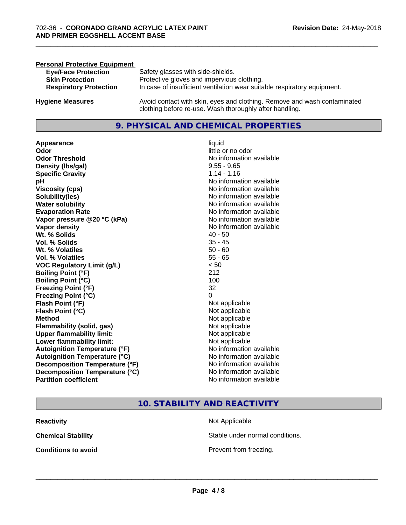| <b>Personal Protective Equipment</b> |                                                                                                                                     |
|--------------------------------------|-------------------------------------------------------------------------------------------------------------------------------------|
| <b>Eye/Face Protection</b>           | Safety glasses with side-shields.                                                                                                   |
| <b>Skin Protection</b>               | Protective gloves and impervious clothing.                                                                                          |
| <b>Respiratory Protection</b>        | In case of insufficient ventilation wear suitable respiratory equipment.                                                            |
| <b>Hygiene Measures</b>              | Avoid contact with skin, eyes and clothing. Remove and wash contaminated<br>clothing before re-use. Wash thoroughly after handling. |

# **9. PHYSICAL AND CHEMICAL PROPERTIES**

**Appearance** liquid **Odor** little or no odor **Odor Threshold** No information available **Density (Ibs/gal)** 9.55 - 9.65 **Specific Gravity** 1.14 - 1.16 **pH pH**  $\blacksquare$ **Viscosity (cps)** No information available<br> **Solubility(ies)** No information available<br>
No information available **Solubility(ies)**<br> **No** information available<br> **Water solubility**<br> **No** information available **Evaporation Rate Evaporation Rate No information available Vapor pressure @20 °C (kPa)** No information available **Vapor density**<br> **Vapor density**<br> **With % Solids**<br>
With % Solids
2019 Wt. % Solids **Vol. % Solids** 35 - 45 **Wt. % Volatiles** 50 - 60 **Vol. % Volatiles** 55 - 65 **VOC Regulatory Limit (g/L)** < 50 **Boiling Point (°F)** 212 **Boiling Point**  $(^{\circ}C)$  100 **Freezing Point (°F)** 32 **Freezing Point (°C)** 0 **Flash Point (°F)**<br> **Flash Point (°C)**<br> **Flash Point (°C)**<br> **C Flash Point (°C) Method** Not applicable not applicable not applicable not applicable not applicable not applicable not applicable not applicable not applicable not applicable not applicable not applicable not applicable not applicable not **Flammability (solid, gas)**<br> **Upper flammability limit:**<br>
Upper flammability limit:<br>  $\begin{array}{ccc}\n\bullet & \bullet & \bullet \\
\bullet & \bullet & \bullet\n\end{array}$  Not applicable **Upper flammability limit: Lower flammability limit:** Not applicable **Autoignition Temperature (°F)** No information available **Autoignition Temperature (°C)** No information available **Decomposition Temperature (°F)** No information available **Decomposition Temperature (°C)**<br> **Partition coefficient**<br> **Partition coefficient**<br> **No** information available

**No information available No information available** 

\_\_\_\_\_\_\_\_\_\_\_\_\_\_\_\_\_\_\_\_\_\_\_\_\_\_\_\_\_\_\_\_\_\_\_\_\_\_\_\_\_\_\_\_\_\_\_\_\_\_\_\_\_\_\_\_\_\_\_\_\_\_\_\_\_\_\_\_\_\_\_\_\_\_\_\_\_\_\_\_\_\_\_\_\_\_\_\_\_\_\_\_\_

# **10. STABILITY AND REACTIVITY**

| <b>Reactivity</b>          | Not Applicable         |
|----------------------------|------------------------|
| <b>Chemical Stability</b>  | Stable under normal c  |
| <b>Conditions to avoid</b> | Prevent from freezing. |

**Not Applicable** Stable under normal conditions.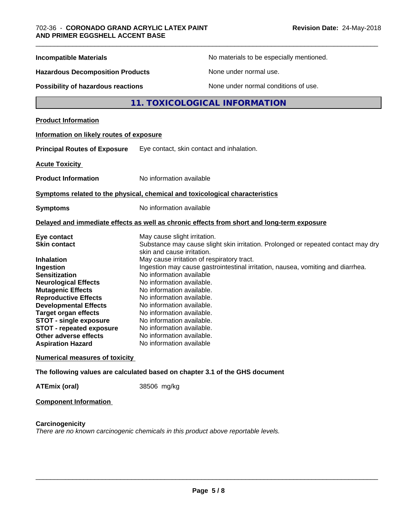| <b>Incompatible Materials</b>                                                                                                                                                                                                                                                                                                                                                         | No materials to be especially mentioned.                                                                                                                                                                                                                                                                                                                                                                                                                                                                                                                                         |
|---------------------------------------------------------------------------------------------------------------------------------------------------------------------------------------------------------------------------------------------------------------------------------------------------------------------------------------------------------------------------------------|----------------------------------------------------------------------------------------------------------------------------------------------------------------------------------------------------------------------------------------------------------------------------------------------------------------------------------------------------------------------------------------------------------------------------------------------------------------------------------------------------------------------------------------------------------------------------------|
| <b>Hazardous Decomposition Products</b>                                                                                                                                                                                                                                                                                                                                               | None under normal use.                                                                                                                                                                                                                                                                                                                                                                                                                                                                                                                                                           |
| <b>Possibility of hazardous reactions</b>                                                                                                                                                                                                                                                                                                                                             | None under normal conditions of use.                                                                                                                                                                                                                                                                                                                                                                                                                                                                                                                                             |
|                                                                                                                                                                                                                                                                                                                                                                                       | 11. TOXICOLOGICAL INFORMATION                                                                                                                                                                                                                                                                                                                                                                                                                                                                                                                                                    |
| <b>Product Information</b>                                                                                                                                                                                                                                                                                                                                                            |                                                                                                                                                                                                                                                                                                                                                                                                                                                                                                                                                                                  |
| Information on likely routes of exposure                                                                                                                                                                                                                                                                                                                                              |                                                                                                                                                                                                                                                                                                                                                                                                                                                                                                                                                                                  |
| <b>Principal Routes of Exposure</b>                                                                                                                                                                                                                                                                                                                                                   | Eye contact, skin contact and inhalation.                                                                                                                                                                                                                                                                                                                                                                                                                                                                                                                                        |
| <b>Acute Toxicity</b>                                                                                                                                                                                                                                                                                                                                                                 |                                                                                                                                                                                                                                                                                                                                                                                                                                                                                                                                                                                  |
| <b>Product Information</b>                                                                                                                                                                                                                                                                                                                                                            | No information available                                                                                                                                                                                                                                                                                                                                                                                                                                                                                                                                                         |
|                                                                                                                                                                                                                                                                                                                                                                                       | Symptoms related to the physical, chemical and toxicological characteristics                                                                                                                                                                                                                                                                                                                                                                                                                                                                                                     |
| <b>Symptoms</b>                                                                                                                                                                                                                                                                                                                                                                       | No information available                                                                                                                                                                                                                                                                                                                                                                                                                                                                                                                                                         |
|                                                                                                                                                                                                                                                                                                                                                                                       | Delayed and immediate effects as well as chronic effects from short and long-term exposure                                                                                                                                                                                                                                                                                                                                                                                                                                                                                       |
| Eye contact<br><b>Skin contact</b><br><b>Inhalation</b><br>Ingestion<br><b>Sensitization</b><br><b>Neurological Effects</b><br><b>Mutagenic Effects</b><br><b>Reproductive Effects</b><br><b>Developmental Effects</b><br><b>Target organ effects</b><br><b>STOT - single exposure</b><br><b>STOT - repeated exposure</b><br><b>Other adverse effects</b><br><b>Aspiration Hazard</b> | May cause slight irritation.<br>Substance may cause slight skin irritation. Prolonged or repeated contact may dry<br>skin and cause irritation.<br>May cause irritation of respiratory tract.<br>Ingestion may cause gastrointestinal irritation, nausea, vomiting and diarrhea.<br>No information available<br>No information available.<br>No information available.<br>No information available.<br>No information available.<br>No information available.<br>No information available.<br>No information available.<br>No information available.<br>No information available |
| <b>Numerical measures of toxicity</b>                                                                                                                                                                                                                                                                                                                                                 |                                                                                                                                                                                                                                                                                                                                                                                                                                                                                                                                                                                  |
|                                                                                                                                                                                                                                                                                                                                                                                       | The following values are calculated based on chapter 3.1 of the GHS document                                                                                                                                                                                                                                                                                                                                                                                                                                                                                                     |
| <b>ATEmix (oral)</b>                                                                                                                                                                                                                                                                                                                                                                  | 38506 mg/kg                                                                                                                                                                                                                                                                                                                                                                                                                                                                                                                                                                      |
|                                                                                                                                                                                                                                                                                                                                                                                       |                                                                                                                                                                                                                                                                                                                                                                                                                                                                                                                                                                                  |

# **Component Information**

# **Carcinogenicity**

*There are no known carcinogenic chemicals in this product above reportable levels.*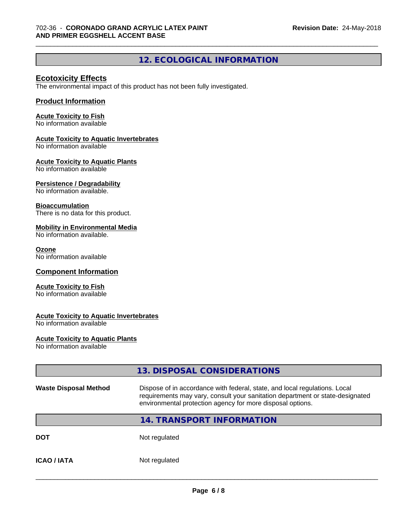# **12. ECOLOGICAL INFORMATION**

\_\_\_\_\_\_\_\_\_\_\_\_\_\_\_\_\_\_\_\_\_\_\_\_\_\_\_\_\_\_\_\_\_\_\_\_\_\_\_\_\_\_\_\_\_\_\_\_\_\_\_\_\_\_\_\_\_\_\_\_\_\_\_\_\_\_\_\_\_\_\_\_\_\_\_\_\_\_\_\_\_\_\_\_\_\_\_\_\_\_\_\_\_

# **Ecotoxicity Effects**

The environmental impact of this product has not been fully investigated.

## **Product Information**

#### **Acute Toxicity to Fish**

No information available

#### **Acute Toxicity to Aquatic Invertebrates**

No information available

#### **Acute Toxicity to Aquatic Plants**

No information available

#### **Persistence / Degradability**

No information available.

#### **Bioaccumulation**

There is no data for this product.

#### **Mobility in Environmental Media**

No information available.

#### **Ozone**

No information available

#### **Component Information**

#### **Acute Toxicity to Fish**

No information available

#### **Acute Toxicity to Aquatic Invertebrates**

No information available

# **Acute Toxicity to Aquatic Plants**

No information available

|                              | 13. DISPOSAL CONSIDERATIONS                                                                                                                                                                                               |  |
|------------------------------|---------------------------------------------------------------------------------------------------------------------------------------------------------------------------------------------------------------------------|--|
| <b>Waste Disposal Method</b> | Dispose of in accordance with federal, state, and local regulations. Local<br>requirements may vary, consult your sanitation department or state-designated<br>environmental protection agency for more disposal options. |  |
|                              | 14. TRANSPORT INFORMATION                                                                                                                                                                                                 |  |
| <b>DOT</b>                   | Not regulated                                                                                                                                                                                                             |  |
| <b>ICAO / IATA</b>           | Not regulated                                                                                                                                                                                                             |  |
|                              |                                                                                                                                                                                                                           |  |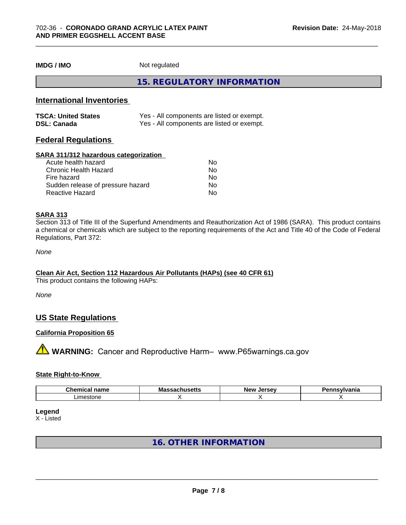**IMDG / IMO** Not regulated

**15. REGULATORY INFORMATION**

# **International Inventories**

| <b>TSCA: United States</b> | Yes - All components are listed or exempt. |
|----------------------------|--------------------------------------------|
| <b>DSL: Canada</b>         | Yes - All components are listed or exempt. |

# **Federal Regulations**

#### **SARA 311/312 hazardous categorization**

| Acute health hazard               | Nο |  |
|-----------------------------------|----|--|
| Chronic Health Hazard             | Nο |  |
| Fire hazard                       | Nο |  |
| Sudden release of pressure hazard | Nο |  |
| Reactive Hazard                   | Nο |  |

#### **SARA 313**

Section 313 of Title III of the Superfund Amendments and Reauthorization Act of 1986 (SARA). This product contains a chemical or chemicals which are subject to the reporting requirements of the Act and Title 40 of the Code of Federal Regulations, Part 372:

*None*

#### **Clean Air Act,Section 112 Hazardous Air Pollutants (HAPs) (see 40 CFR 61)**

This product contains the following HAPs:

*None*

# **US State Regulations**

### **California Proposition 65**

**A** WARNING: Cancer and Reproductive Harm– www.P65warnings.ca.gov

#### **State Right-to-Know**

| $\sim$<br>- -- -<br>$  -$<br>name<br>Chemical | Mas:<br>วบเเนวចแฉ | <b>Nev</b><br>e ov<br><br>$-1$ | .<br>anıa |
|-----------------------------------------------|-------------------|--------------------------------|-----------|
| Limestone                                     |                   |                                |           |

#### **Legend**

X - Listed

# **16. OTHER INFORMATION**